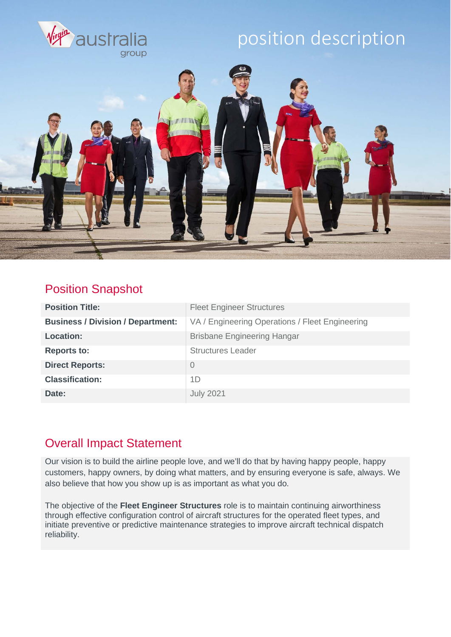

### Position Snapshot

| <b>Position Title:</b>                   | <b>Fleet Engineer Structures</b>                |
|------------------------------------------|-------------------------------------------------|
| <b>Business / Division / Department:</b> | VA / Engineering Operations / Fleet Engineering |
| <b>Location:</b>                         | <b>Brisbane Engineering Hangar</b>              |
| <b>Reports to:</b>                       | <b>Structures Leader</b>                        |
| <b>Direct Reports:</b>                   | $\overline{0}$                                  |
| <b>Classification:</b>                   | 1D                                              |
| Date:                                    | <b>July 2021</b>                                |

### Overall Impact Statement

Our vision is to build the airline people love, and we'll do that by having happy people, happy customers, happy owners, by doing what matters, and by ensuring everyone is safe, always. We also believe that how you show up is as important as what you do.

The objective of the **Fleet Engineer Structures** role is to maintain continuing airworthiness through effective configuration control of aircraft structures for the operated fleet types, and initiate preventive or predictive maintenance strategies to improve aircraft technical dispatch reliability.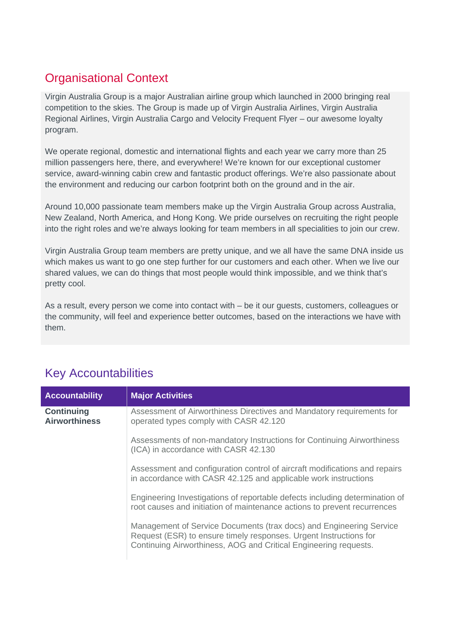### Organisational Context

Virgin Australia Group is a major Australian airline group which launched in 2000 bringing real competition to the skies. The Group is made up of Virgin Australia Airlines, Virgin Australia Regional Airlines, Virgin Australia Cargo and Velocity Frequent Flyer – our awesome loyalty program.

We operate regional, domestic and international flights and each year we carry more than 25 million passengers here, there, and everywhere! We're known for our exceptional customer service, award-winning cabin crew and fantastic product offerings. We're also passionate about the environment and reducing our carbon footprint both on the ground and in the air.

Around 10,000 passionate team members make up the Virgin Australia Group across Australia, New Zealand, North America, and Hong Kong. We pride ourselves on recruiting the right people into the right roles and we're always looking for team members in all specialities to join our crew.

Virgin Australia Group team members are pretty unique, and we all have the same DNA inside us which makes us want to go one step further for our customers and each other. When we live our shared values, we can do things that most people would think impossible, and we think that's pretty cool.

As a result, every person we come into contact with – be it our guests, customers, colleagues or the community, will feel and experience better outcomes, based on the interactions we have with them.

| <b>Accountability</b>                     | <b>Major Activities</b>                                                                                                                                                                                      |
|-------------------------------------------|--------------------------------------------------------------------------------------------------------------------------------------------------------------------------------------------------------------|
| <b>Continuing</b><br><b>Airworthiness</b> | Assessment of Airworthiness Directives and Mandatory requirements for<br>operated types comply with CASR 42.120                                                                                              |
|                                           | Assessments of non-mandatory Instructions for Continuing Airworthiness<br>(ICA) in accordance with CASR 42.130                                                                                               |
|                                           | Assessment and configuration control of aircraft modifications and repairs<br>in accordance with CASR 42.125 and applicable work instructions                                                                |
|                                           | Engineering Investigations of reportable defects including determination of<br>root causes and initiation of maintenance actions to prevent recurrences                                                      |
|                                           | Management of Service Documents (trax docs) and Engineering Service<br>Request (ESR) to ensure timely responses. Urgent Instructions for<br>Continuing Airworthiness, AOG and Critical Engineering requests. |

## Key Accountabilities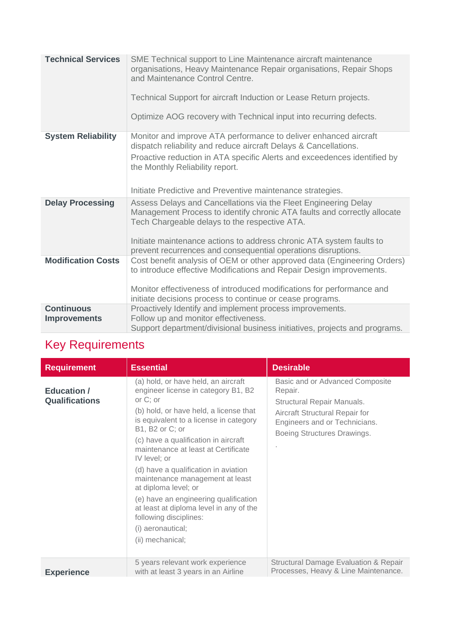| <b>Technical Services</b>                | SME Technical support to Line Maintenance aircraft maintenance<br>organisations, Heavy Maintenance Repair organisations, Repair Shops<br>and Maintenance Control Centre.<br>Technical Support for aircraft Induction or Lease Return projects.<br>Optimize AOG recovery with Technical input into recurring defects.                  |
|------------------------------------------|---------------------------------------------------------------------------------------------------------------------------------------------------------------------------------------------------------------------------------------------------------------------------------------------------------------------------------------|
| <b>System Reliability</b>                | Monitor and improve ATA performance to deliver enhanced aircraft<br>dispatch reliability and reduce aircraft Delays & Cancellations.<br>Proactive reduction in ATA specific Alerts and exceedences identified by<br>the Monthly Reliability report.<br>Initiate Predictive and Preventive maintenance strategies.                     |
| <b>Delay Processing</b>                  | Assess Delays and Cancellations via the Fleet Engineering Delay<br>Management Process to identify chronic ATA faults and correctly allocate<br>Tech Chargeable delays to the respective ATA.<br>Initiate maintenance actions to address chronic ATA system faults to<br>prevent recurrences and consequential operations disruptions. |
| <b>Modification Costs</b>                | Cost benefit analysis of OEM or other approved data (Engineering Orders)<br>to introduce effective Modifications and Repair Design improvements.<br>Monitor effectiveness of introduced modifications for performance and<br>initiate decisions process to continue or cease programs.                                                |
| <b>Continuous</b><br><b>Improvements</b> | Proactively Identify and implement process improvements.<br>Follow up and monitor effectiveness.<br>Support department/divisional business initiatives, projects and programs.                                                                                                                                                        |

## Key Requirements

| <b>Requirement</b>                          | <b>Essential</b>                                                                                                                                                                                                                                                                                                                                                                                                                                                                                                                                          | <b>Desirable</b>                                                                                                                                                           |
|---------------------------------------------|-----------------------------------------------------------------------------------------------------------------------------------------------------------------------------------------------------------------------------------------------------------------------------------------------------------------------------------------------------------------------------------------------------------------------------------------------------------------------------------------------------------------------------------------------------------|----------------------------------------------------------------------------------------------------------------------------------------------------------------------------|
| <b>Education /</b><br><b>Qualifications</b> | (a) hold, or have held, an aircraft<br>engineer license in category B1, B2<br>or $C$ ; or<br>(b) hold, or have held, a license that<br>is equivalent to a license in category<br>B1, B2 or C; or<br>(c) have a qualification in aircraft<br>maintenance at least at Certificate<br>IV level; or<br>(d) have a qualification in aviation<br>maintenance management at least<br>at diploma level; or<br>(e) have an engineering qualification<br>at least at diploma level in any of the<br>following disciplines:<br>(i) aeronautical;<br>(ii) mechanical; | Basic and or Advanced Composite<br>Repair.<br>Structural Repair Manuals.<br>Aircraft Structural Repair for<br>Engineers and or Technicians.<br>Boeing Structures Drawings. |
| <b>Experience</b>                           | 5 years relevant work experience<br>with at least 3 years in an Airline                                                                                                                                                                                                                                                                                                                                                                                                                                                                                   | Structural Damage Evaluation & Repair<br>Processes, Heavy & Line Maintenance.                                                                                              |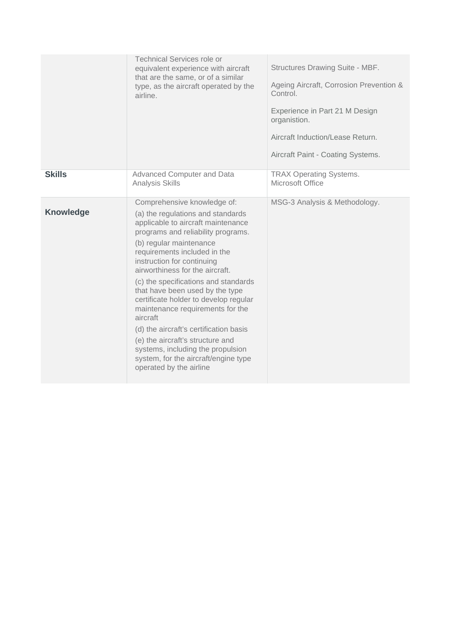|                  | <b>Technical Services role or</b><br>equivalent experience with aircraft<br>that are the same, or of a similar<br>type, as the aircraft operated by the<br>airline.                                                                                                                                                                                                                                                                                                                                                                                                                                                                | Structures Drawing Suite - MBF.<br>Ageing Aircraft, Corrosion Prevention &<br>Control.<br>Experience in Part 21 M Design<br>organistion.<br>Aircraft Induction/Lease Return.<br>Aircraft Paint - Coating Systems. |
|------------------|------------------------------------------------------------------------------------------------------------------------------------------------------------------------------------------------------------------------------------------------------------------------------------------------------------------------------------------------------------------------------------------------------------------------------------------------------------------------------------------------------------------------------------------------------------------------------------------------------------------------------------|-------------------------------------------------------------------------------------------------------------------------------------------------------------------------------------------------------------------|
| <b>Skills</b>    | Advanced Computer and Data<br><b>Analysis Skills</b>                                                                                                                                                                                                                                                                                                                                                                                                                                                                                                                                                                               | <b>TRAX Operating Systems.</b><br>Microsoft Office                                                                                                                                                                |
| <b>Knowledge</b> | Comprehensive knowledge of:<br>(a) the regulations and standards<br>applicable to aircraft maintenance<br>programs and reliability programs.<br>(b) regular maintenance<br>requirements included in the<br>instruction for continuing<br>airworthiness for the aircraft.<br>(c) the specifications and standards<br>that have been used by the type<br>certificate holder to develop regular<br>maintenance requirements for the<br>aircraft<br>(d) the aircraft's certification basis<br>(e) the aircraft's structure and<br>systems, including the propulsion<br>system, for the aircraft/engine type<br>operated by the airline | MSG-3 Analysis & Methodology.                                                                                                                                                                                     |